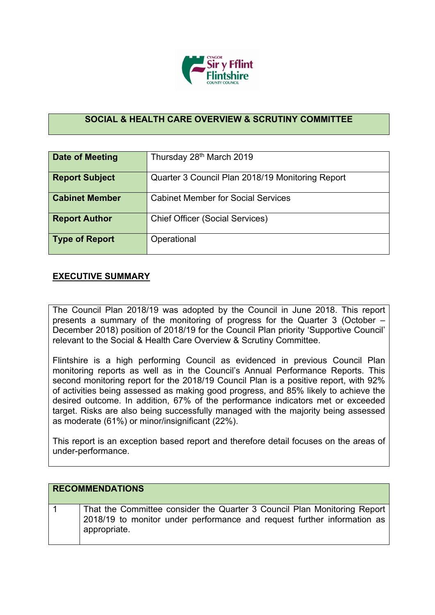

## **SOCIAL & HEALTH CARE OVERVIEW & SCRUTINY COMMITTEE**

| Date of Meeting       | Thursday 28th March 2019                         |  |  |  |  |
|-----------------------|--------------------------------------------------|--|--|--|--|
|                       |                                                  |  |  |  |  |
| <b>Report Subject</b> | Quarter 3 Council Plan 2018/19 Monitoring Report |  |  |  |  |
|                       |                                                  |  |  |  |  |
| <b>Cabinet Member</b> | <b>Cabinet Member for Social Services</b>        |  |  |  |  |
|                       |                                                  |  |  |  |  |
| <b>Report Author</b>  | <b>Chief Officer (Social Services)</b>           |  |  |  |  |
|                       |                                                  |  |  |  |  |
| <b>Type of Report</b> | Operational                                      |  |  |  |  |
|                       |                                                  |  |  |  |  |

## **EXECUTIVE SUMMARY**

appropriate.

The Council Plan 2018/19 was adopted by the Council in June 2018. This report presents a summary of the monitoring of progress for the Quarter 3 (October – December 2018) position of 2018/19 for the Council Plan priority 'Supportive Council' relevant to the Social & Health Care Overview & Scrutiny Committee.

Flintshire is a high performing Council as evidenced in previous Council Plan monitoring reports as well as in the Council's Annual Performance Reports. This second monitoring report for the 2018/19 Council Plan is a positive report, with 92% of activities being assessed as making good progress, and 85% likely to achieve the desired outcome. In addition, 67% of the performance indicators met or exceeded target. Risks are also being successfully managed with the majority being assessed as moderate (61%) or minor/insignificant (22%).

This report is an exception based report and therefore detail focuses on the areas of under-performance.

| <b>RECOMMENDATIONS</b>                                                   |
|--------------------------------------------------------------------------|
| That the Committee consider the Quarter 3 Council Plan Monitoring Report |
| 2018/19 to monitor under performance and request further information as  |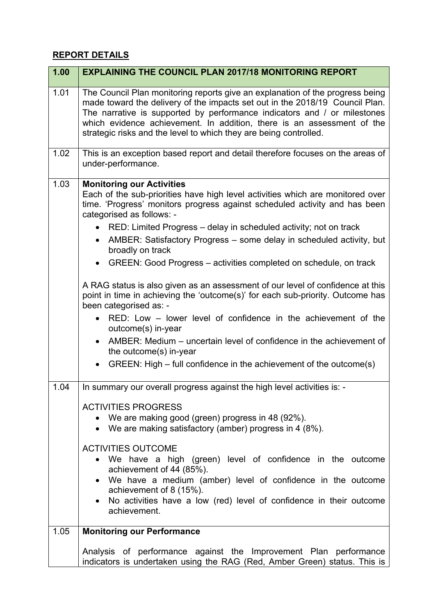## **REPORT DETAILS**

| 1.00 | <b>EXPLAINING THE COUNCIL PLAN 2017/18 MONITORING REPORT</b>                                                                                                                                                                                                                                                                                                                                                                                                                                                                                                                                                                                                                                                                                                                                                                                                                                                                                                            |  |  |  |  |  |
|------|-------------------------------------------------------------------------------------------------------------------------------------------------------------------------------------------------------------------------------------------------------------------------------------------------------------------------------------------------------------------------------------------------------------------------------------------------------------------------------------------------------------------------------------------------------------------------------------------------------------------------------------------------------------------------------------------------------------------------------------------------------------------------------------------------------------------------------------------------------------------------------------------------------------------------------------------------------------------------|--|--|--|--|--|
| 1.01 | The Council Plan monitoring reports give an explanation of the progress being<br>made toward the delivery of the impacts set out in the 2018/19 Council Plan.<br>The narrative is supported by performance indicators and / or milestones<br>which evidence achievement. In addition, there is an assessment of the<br>strategic risks and the level to which they are being controlled.                                                                                                                                                                                                                                                                                                                                                                                                                                                                                                                                                                                |  |  |  |  |  |
| 1.02 | This is an exception based report and detail therefore focuses on the areas of<br>under-performance.                                                                                                                                                                                                                                                                                                                                                                                                                                                                                                                                                                                                                                                                                                                                                                                                                                                                    |  |  |  |  |  |
| 1.03 | <b>Monitoring our Activities</b><br>Each of the sub-priorities have high level activities which are monitored over<br>time. 'Progress' monitors progress against scheduled activity and has been<br>categorised as follows: -<br>RED: Limited Progress – delay in scheduled activity; not on track<br>AMBER: Satisfactory Progress – some delay in scheduled activity, but<br>$\bullet$<br>broadly on track<br>GREEN: Good Progress – activities completed on schedule, on track<br>$\bullet$<br>A RAG status is also given as an assessment of our level of confidence at this<br>point in time in achieving the 'outcome(s)' for each sub-priority. Outcome has<br>been categorised as: -<br>RED: Low – lower level of confidence in the achievement of the<br>outcome(s) in-year<br>AMBER: Medium – uncertain level of confidence in the achievement of<br>$\bullet$<br>the outcome(s) in-year<br>GREEN: High – full confidence in the achievement of the outcome(s) |  |  |  |  |  |
| 1.04 | In summary our overall progress against the high level activities is: -<br><b>ACTIVITIES PROGRESS</b><br>We are making good (green) progress in 48 (92%).<br>• We are making satisfactory (amber) progress in 4 (8%).<br><b>ACTIVITIES OUTCOME</b><br>We have a high (green) level of confidence in the outcome<br>$\bullet$<br>achievement of 44 (85%).<br>We have a medium (amber) level of confidence in the outcome<br>$\bullet$<br>achievement of 8 (15%).<br>No activities have a low (red) level of confidence in their outcome<br>$\bullet$<br>achievement.                                                                                                                                                                                                                                                                                                                                                                                                     |  |  |  |  |  |
| 1.05 | <b>Monitoring our Performance</b>                                                                                                                                                                                                                                                                                                                                                                                                                                                                                                                                                                                                                                                                                                                                                                                                                                                                                                                                       |  |  |  |  |  |
|      | Analysis of performance against the Improvement Plan performance<br>indicators is undertaken using the RAG (Red, Amber Green) status. This is                                                                                                                                                                                                                                                                                                                                                                                                                                                                                                                                                                                                                                                                                                                                                                                                                           |  |  |  |  |  |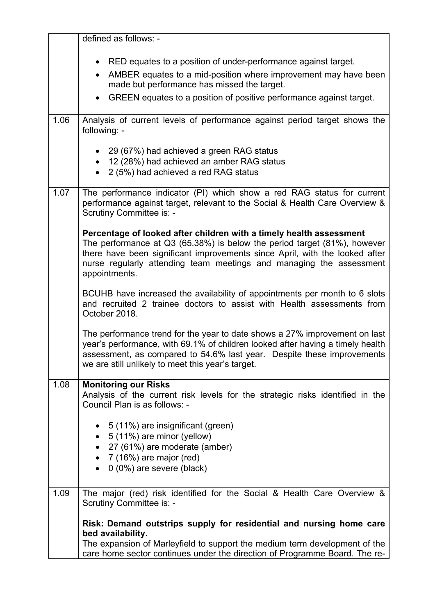|      | defined as follows: -                                                                                                                                                                                                                                                                                                  |  |  |  |  |
|------|------------------------------------------------------------------------------------------------------------------------------------------------------------------------------------------------------------------------------------------------------------------------------------------------------------------------|--|--|--|--|
|      |                                                                                                                                                                                                                                                                                                                        |  |  |  |  |
|      | RED equates to a position of under-performance against target.                                                                                                                                                                                                                                                         |  |  |  |  |
|      | AMBER equates to a mid-position where improvement may have been<br>made but performance has missed the target.                                                                                                                                                                                                         |  |  |  |  |
|      | GREEN equates to a position of positive performance against target.                                                                                                                                                                                                                                                    |  |  |  |  |
| 1.06 | Analysis of current levels of performance against period target shows the<br>following: -                                                                                                                                                                                                                              |  |  |  |  |
|      | 29 (67%) had achieved a green RAG status<br>12 (28%) had achieved an amber RAG status<br>2 (5%) had achieved a red RAG status                                                                                                                                                                                          |  |  |  |  |
| 1.07 | The performance indicator (PI) which show a red RAG status for current<br>performance against target, relevant to the Social & Health Care Overview &<br>Scrutiny Committee is: -                                                                                                                                      |  |  |  |  |
|      | Percentage of looked after children with a timely health assessment<br>The performance at Q3 (65.38%) is below the period target (81%), however<br>there have been significant improvements since April, with the looked after<br>nurse regularly attending team meetings and managing the assessment<br>appointments. |  |  |  |  |
|      | BCUHB have increased the availability of appointments per month to 6 slots<br>and recruited 2 trainee doctors to assist with Health assessments from<br>October 2018.                                                                                                                                                  |  |  |  |  |
|      | The performance trend for the year to date shows a 27% improvement on last<br>year's performance, with 69.1% of children looked after having a timely health<br>assessment, as compared to 54.6% last year. Despite these improvements<br>we are still unlikely to meet this year's target.                            |  |  |  |  |
| 1.08 | <b>Monitoring our Risks</b><br>Analysis of the current risk levels for the strategic risks identified in the<br>Council Plan is as follows: -                                                                                                                                                                          |  |  |  |  |
|      | 5 (11%) are insignificant (green)<br>5 (11%) are minor (yellow)<br>27 (61%) are moderate (amber)<br>7 (16%) are major (red)<br>0 (0%) are severe (black)<br>$\bullet$                                                                                                                                                  |  |  |  |  |
| 1.09 | The major (red) risk identified for the Social & Health Care Overview &<br>Scrutiny Committee is: -                                                                                                                                                                                                                    |  |  |  |  |
|      | Risk: Demand outstrips supply for residential and nursing home care<br>bed availability.<br>The expansion of Marleyfield to support the medium term development of the<br>care home sector continues under the direction of Programme Board. The re-                                                                   |  |  |  |  |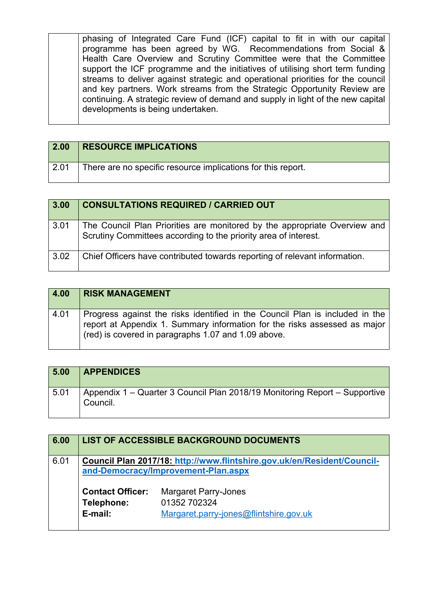phasing of Integrated Care Fund (ICF) capital to fit in with our capital programme has been agreed by WG. Recommendations from Social & Health Care Overview and Scrutiny Committee were that the Committee support the ICF programme and the initiatives of utilising short term funding streams to deliver against strategic and operational priorities for the council and key partners. Work streams from the Strategic Opportunity Review are continuing. A strategic review of demand and supply in light of the new capital developments is being undertaken.

| 2.00 | <b>RESOURCE IMPLICATIONS</b>                                 |
|------|--------------------------------------------------------------|
| 2.01 | There are no specific resource implications for this report. |

| $3.00$ | <b>CONSULTATIONS REQUIRED / CARRIED OUT</b>                                                                                                  |
|--------|----------------------------------------------------------------------------------------------------------------------------------------------|
| 3.01   | The Council Plan Priorities are monitored by the appropriate Overview and<br>Scrutiny Committees according to the priority area of interest. |
| 3.02   | Chief Officers have contributed towards reporting of relevant information.                                                                   |

| 4.00 | <b>RISK MANAGEMENT</b>                                                                                                                                                                                           |
|------|------------------------------------------------------------------------------------------------------------------------------------------------------------------------------------------------------------------|
| 4.01 | Progress against the risks identified in the Council Plan is included in the<br>report at Appendix 1. Summary information for the risks assessed as major<br>(red) is covered in paragraphs 1.07 and 1.09 above. |

| 5.00 | <b>APPENDICES</b>                                                                      |
|------|----------------------------------------------------------------------------------------|
| 5.01 | Appendix 1 – Quarter 3 Council Plan 2018/19 Monitoring Report – Supportive<br>Council. |

| 6.00 |                                                                                                                | LIST OF ACCESSIBLE BACKGROUND DOCUMENTS                                               |  |  |  |  |
|------|----------------------------------------------------------------------------------------------------------------|---------------------------------------------------------------------------------------|--|--|--|--|
| 6.01 | Council Plan 2017/18: http://www.flintshire.gov.uk/en/Resident/Council-<br>and-Democracy/Improvement-Plan.aspx |                                                                                       |  |  |  |  |
|      | <b>Contact Officer:</b><br>Telephone:<br>E-mail:                                                               | <b>Margaret Parry-Jones</b><br>01352 702324<br>Margaret.parry-jones@flintshire.gov.uk |  |  |  |  |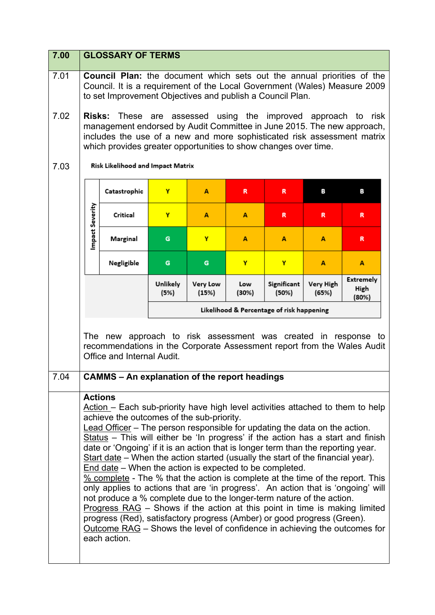| 7.00 | <b>GLOSSARY OF TERMS</b>                                                                                                                                                                                                                                                                                                                                                                                                                                                                                                                                                                                                                                                                                                                                                                                                                                                                                                                                                                                                                               |                                                      |                  |                   |              |                                           |                    |                                   |
|------|--------------------------------------------------------------------------------------------------------------------------------------------------------------------------------------------------------------------------------------------------------------------------------------------------------------------------------------------------------------------------------------------------------------------------------------------------------------------------------------------------------------------------------------------------------------------------------------------------------------------------------------------------------------------------------------------------------------------------------------------------------------------------------------------------------------------------------------------------------------------------------------------------------------------------------------------------------------------------------------------------------------------------------------------------------|------------------------------------------------------|------------------|-------------------|--------------|-------------------------------------------|--------------------|-----------------------------------|
| 7.01 | <b>Council Plan:</b> the document which sets out the annual priorities of the<br>Council. It is a requirement of the Local Government (Wales) Measure 2009<br>to set Improvement Objectives and publish a Council Plan.                                                                                                                                                                                                                                                                                                                                                                                                                                                                                                                                                                                                                                                                                                                                                                                                                                |                                                      |                  |                   |              |                                           |                    |                                   |
| 7.02 | Risks: These are assessed using the improved approach to<br>risk<br>management endorsed by Audit Committee in June 2015. The new approach,<br>includes the use of a new and more sophisticated risk assessment matrix<br>which provides greater opportunities to show changes over time.                                                                                                                                                                                                                                                                                                                                                                                                                                                                                                                                                                                                                                                                                                                                                               |                                                      |                  |                   |              |                                           |                    |                                   |
| 7.03 |                                                                                                                                                                                                                                                                                                                                                                                                                                                                                                                                                                                                                                                                                                                                                                                                                                                                                                                                                                                                                                                        | Risk Likelihood and Impact Matrix                    |                  |                   |              |                                           |                    |                                   |
|      |                                                                                                                                                                                                                                                                                                                                                                                                                                                                                                                                                                                                                                                                                                                                                                                                                                                                                                                                                                                                                                                        | Catastrophic                                         | Y                | A                 | R            | R                                         | в                  | в                                 |
|      | mpact Severity                                                                                                                                                                                                                                                                                                                                                                                                                                                                                                                                                                                                                                                                                                                                                                                                                                                                                                                                                                                                                                         | Critical                                             | Y                | A                 | A            | R                                         | R                  | R                                 |
|      |                                                                                                                                                                                                                                                                                                                                                                                                                                                                                                                                                                                                                                                                                                                                                                                                                                                                                                                                                                                                                                                        | Marginal                                             | G                | Y                 | A            | A                                         | A                  | R                                 |
|      |                                                                                                                                                                                                                                                                                                                                                                                                                                                                                                                                                                                                                                                                                                                                                                                                                                                                                                                                                                                                                                                        | Negligible                                           | G                | G                 | Y            | Y                                         | A                  | A                                 |
|      |                                                                                                                                                                                                                                                                                                                                                                                                                                                                                                                                                                                                                                                                                                                                                                                                                                                                                                                                                                                                                                                        |                                                      | Unlikely<br>(5%) | Very Low<br>(15%) | Low<br>(30%) | Significant<br>(50%)                      | Very High<br>(65%) | <b>Extremely</b><br>High<br>(80%) |
|      |                                                                                                                                                                                                                                                                                                                                                                                                                                                                                                                                                                                                                                                                                                                                                                                                                                                                                                                                                                                                                                                        |                                                      |                  |                   |              | Likelihood & Percentage of risk happening |                    |                                   |
|      | The new approach to risk assessment was created in response to<br>recommendations in the Corporate Assessment report from the Wales Audit<br>Office and Internal Audit.                                                                                                                                                                                                                                                                                                                                                                                                                                                                                                                                                                                                                                                                                                                                                                                                                                                                                |                                                      |                  |                   |              |                                           |                    |                                   |
| 7.04 |                                                                                                                                                                                                                                                                                                                                                                                                                                                                                                                                                                                                                                                                                                                                                                                                                                                                                                                                                                                                                                                        | <b>CAMMS - An explanation of the report headings</b> |                  |                   |              |                                           |                    |                                   |
|      | <b>Actions</b><br>Action - Each sub-priority have high level activities attached to them to help<br>achieve the outcomes of the sub-priority.<br>Lead Officer – The person responsible for updating the data on the action.<br>Status - This will either be 'In progress' if the action has a start and finish<br>date or 'Ongoing' if it is an action that is longer term than the reporting year.<br>Start date – When the action started (usually the start of the financial year).<br>End date - When the action is expected to be completed.<br>% complete - The % that the action is complete at the time of the report. This<br>only applies to actions that are 'in progress'. An action that is 'ongoing' will<br>not produce a % complete due to the longer-term nature of the action.<br>Progress RAG - Shows if the action at this point in time is making limited<br>progress (Red), satisfactory progress (Amber) or good progress (Green).<br>Outcome RAG - Shows the level of confidence in achieving the outcomes for<br>each action. |                                                      |                  |                   |              |                                           |                    |                                   |